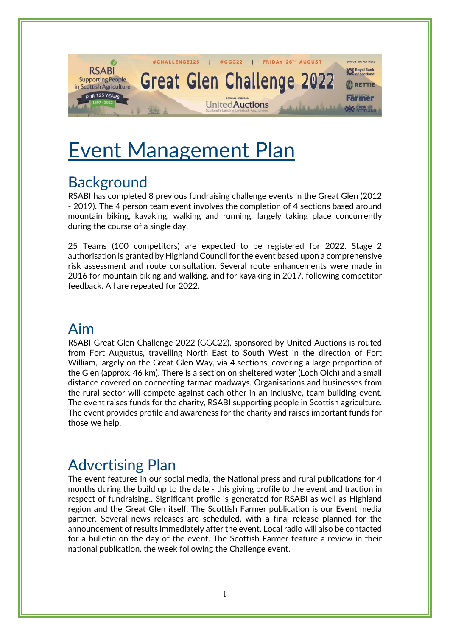

# Event Management Plan

# **Background**

RSABI has completed 8 previous fundraising challenge events in the Great Glen (2012 - 2019). The 4 person team event involves the completion of 4 sections based around mountain biking, kayaking, walking and running, largely taking place concurrently during the course of a single day.

25 Teams (100 competitors) are expected to be registered for 2022. Stage 2 authorisation is granted by Highland Council for the event based upon a comprehensive risk assessment and route consultation. Several route enhancements were made in 2016 for mountain biking and walking, and for kayaking in 2017, following competitor feedback. All are repeated for 2022.

### Aim

RSABI Great Glen Challenge 2022 (GGC22), sponsored by United Auctions is routed from Fort Augustus, travelling North East to South West in the direction of Fort William, largely on the Great Glen Way, via 4 sections, covering a large proportion of the Glen (approx. 46 km). There is a section on sheltered water (Loch Oich) and a small distance covered on connecting tarmac roadways. Organisations and businesses from the rural sector will compete against each other in an inclusive, team building event. The event raises funds for the charity, RSABI supporting people in Scottish agriculture. The event provides profile and awareness for the charity and raises important funds for those we help.

# Advertising Plan

The event features in our social media, the National press and rural publications for 4 months during the build up to the date - this giving profile to the event and traction in respect of fundraising.. Significant profile is generated for RSABI as well as Highland region and the Great Glen itself. The Scottish Farmer publication is our Event media partner. Several news releases are scheduled, with a final release planned for the announcement of results immediately after the event. Local radio will also be contacted for a bulletin on the day of the event. The Scottish Farmer feature a review in their national publication, the week following the Challenge event.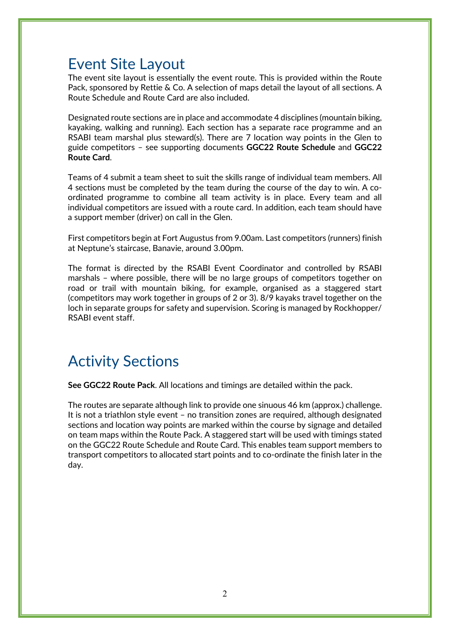### Event Site Layout

The event site layout is essentially the event route. This is provided within the Route Pack, sponsored by Rettie & Co. A selection of maps detail the layout of all sections. A Route Schedule and Route Card are also included.

Designated route sections are in place and accommodate 4 disciplines (mountain biking, kayaking, walking and running). Each section has a separate race programme and an RSABI team marshal plus steward(s). There are 7 location way points in the Glen to guide competitors – see supporting documents **GGC22 Route Schedule** and **GGC22 Route Card**.

Teams of 4 submit a team sheet to suit the skills range of individual team members. All 4 sections must be completed by the team during the course of the day to win. A coordinated programme to combine all team activity is in place. Every team and all individual competitors are issued with a route card. In addition, each team should have a support member (driver) on call in the Glen.

First competitors begin at Fort Augustus from 9.00am. Last competitors (runners) finish at Neptune's staircase, Banavie, around 3.00pm.

The format is directed by the RSABI Event Coordinator and controlled by RSABI marshals – where possible, there will be no large groups of competitors together on road or trail with mountain biking, for example, organised as a staggered start (competitors may work together in groups of 2 or 3). 8/9 kayaks travel together on the loch in separate groups for safety and supervision. Scoring is managed by Rockhopper/ RSABI event staff.

### Activity Sections

**See GGC22 Route Pack**. All locations and timings are detailed within the pack.

The routes are separate although link to provide one sinuous 46 km (approx.) challenge. It is not a triathlon style event – no transition zones are required, although designated sections and location way points are marked within the course by signage and detailed on team maps within the Route Pack. A staggered start will be used with timings stated on the GGC22 Route Schedule and Route Card. This enables team support members to transport competitors to allocated start points and to co-ordinate the finish later in the day.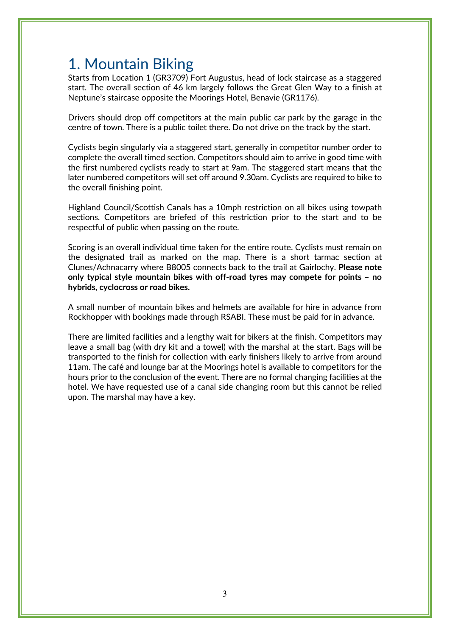# 1. Mountain Biking

Starts from Location 1 (GR3709) Fort Augustus, head of lock staircase as a staggered start. The overall section of 46 km largely follows the Great Glen Way to a finish at Neptune's staircase opposite the Moorings Hotel, Benavie (GR1176).

Drivers should drop off competitors at the main public car park by the garage in the centre of town. There is a public toilet there. Do not drive on the track by the start.

Cyclists begin singularly via a staggered start, generally in competitor number order to complete the overall timed section. Competitors should aim to arrive in good time with the first numbered cyclists ready to start at 9am. The staggered start means that the later numbered competitors will set off around 9.30am. Cyclists are required to bike to the overall finishing point.

Highland Council/Scottish Canals has a 10mph restriction on all bikes using towpath sections. Competitors are briefed of this restriction prior to the start and to be respectful of public when passing on the route.

Scoring is an overall individual time taken for the entire route. Cyclists must remain on the designated trail as marked on the map. There is a short tarmac section at Clunes/Achnacarry where B8005 connects back to the trail at Gairlochy. **Please note only typical style mountain bikes with off-road tyres may compete for points – no hybrids, cyclocross or road bikes.**

A small number of mountain bikes and helmets are available for hire in advance from Rockhopper with bookings made through RSABI. These must be paid for in advance.

There are limited facilities and a lengthy wait for bikers at the finish. Competitors may leave a small bag (with dry kit and a towel) with the marshal at the start. Bags will be transported to the finish for collection with early finishers likely to arrive from around 11am. The café and lounge bar at the Moorings hotel is available to competitors for the hours prior to the conclusion of the event. There are no formal changing facilities at the hotel. We have requested use of a canal side changing room but this cannot be relied upon. The marshal may have a key.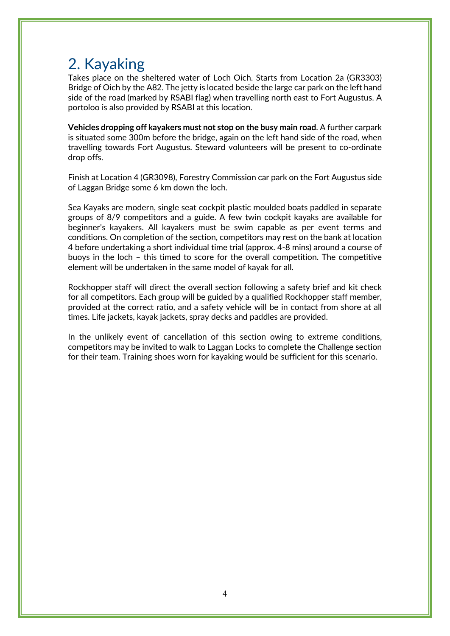# 2. Kayaking

Takes place on the sheltered water of Loch Oich. Starts from Location 2a (GR3303) Bridge of Oich by the A82. The jetty is located beside the large car park on the left hand side of the road (marked by RSABI flag) when travelling north east to Fort Augustus. A portoloo is also provided by RSABI at this location.

**Vehicles dropping off kayakers must not stop on the busy main road**. A further carpark is situated some 300m before the bridge, again on the left hand side of the road, when travelling towards Fort Augustus. Steward volunteers will be present to co-ordinate drop offs.

Finish at Location 4 (GR3098), Forestry Commission car park on the Fort Augustus side of Laggan Bridge some 6 km down the loch.

Sea Kayaks are modern, single seat cockpit plastic moulded boats paddled in separate groups of 8/9 competitors and a guide. A few twin cockpit kayaks are available for beginner's kayakers. All kayakers must be swim capable as per event terms and conditions. On completion of the section, competitors may rest on the bank at location 4 before undertaking a short individual time trial (approx. 4-8 mins) around a course of buoys in the loch – this timed to score for the overall competition. The competitive element will be undertaken in the same model of kayak for all.

Rockhopper staff will direct the overall section following a safety brief and kit check for all competitors. Each group will be guided by a qualified Rockhopper staff member, provided at the correct ratio, and a safety vehicle will be in contact from shore at all times. Life jackets, kayak jackets, spray decks and paddles are provided.

In the unlikely event of cancellation of this section owing to extreme conditions, competitors may be invited to walk to Laggan Locks to complete the Challenge section for their team. Training shoes worn for kayaking would be sufficient for this scenario.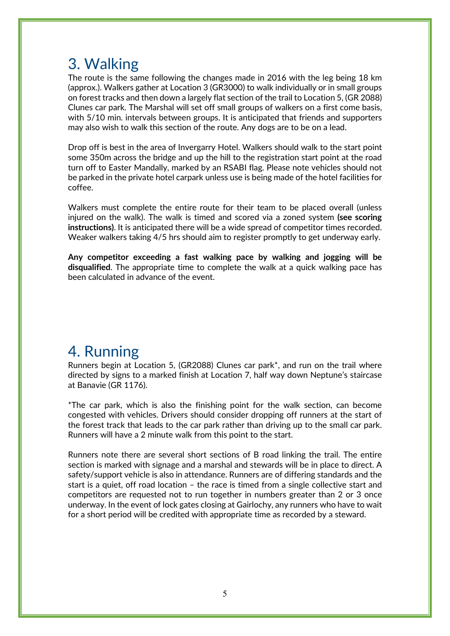# 3. Walking

The route is the same following the changes made in 2016 with the leg being 18 km (approx.). Walkers gather at Location 3 (GR3000) to walk individually or in small groups on forest tracks and then down a largely flat section of the trail to Location 5, (GR 2088) Clunes car park. The Marshal will set off small groups of walkers on a first come basis, with 5/10 min. intervals between groups. It is anticipated that friends and supporters may also wish to walk this section of the route. Any dogs are to be on a lead.

Drop off is best in the area of Invergarry Hotel. Walkers should walk to the start point some 350m across the bridge and up the hill to the registration start point at the road turn off to Easter Mandally, marked by an RSABI flag. Please note vehicles should not be parked in the private hotel carpark unless use is being made of the hotel facilities for coffee.

Walkers must complete the entire route for their team to be placed overall (unless injured on the walk). The walk is timed and scored via a zoned system **(see scoring instructions)**. It is anticipated there will be a wide spread of competitor times recorded. Weaker walkers taking 4/5 hrs should aim to register promptly to get underway early.

**Any competitor exceeding a fast walking pace by walking and jogging will be disqualified**. The appropriate time to complete the walk at a quick walking pace has been calculated in advance of the event.

## 4. Running

Runners begin at Location 5, (GR2088) Clunes car park\*, and run on the trail where directed by signs to a marked finish at Location 7, half way down Neptune's staircase at Banavie (GR 1176).

\*The car park, which is also the finishing point for the walk section, can become congested with vehicles. Drivers should consider dropping off runners at the start of the forest track that leads to the car park rather than driving up to the small car park. Runners will have a 2 minute walk from this point to the start.

Runners note there are several short sections of B road linking the trail. The entire section is marked with signage and a marshal and stewards will be in place to direct. A safety/support vehicle is also in attendance. Runners are of differing standards and the start is a quiet, off road location – the race is timed from a single collective start and competitors are requested not to run together in numbers greater than 2 or 3 once underway. In the event of lock gates closing at Gairlochy, any runners who have to wait for a short period will be credited with appropriate time as recorded by a steward.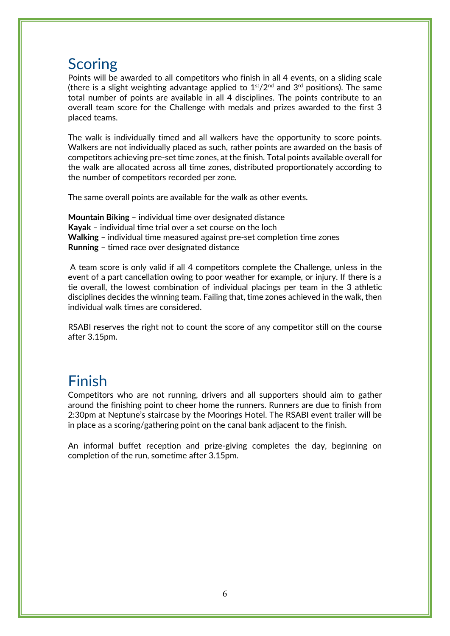#### **Scoring**

Points will be awarded to all competitors who finish in all 4 events, on a sliding scale (there is a slight weighting advantage applied to  $1<sup>st</sup>/2<sup>nd</sup>$  and  $3<sup>rd</sup>$  positions). The same total number of points are available in all 4 disciplines. The points contribute to an overall team score for the Challenge with medals and prizes awarded to the first 3 placed teams.

The walk is individually timed and all walkers have the opportunity to score points. Walkers are not individually placed as such, rather points are awarded on the basis of competitors achieving pre-set time zones, at the finish. Total points available overall for the walk are allocated across all time zones, distributed proportionately according to the number of competitors recorded per zone.

The same overall points are available for the walk as other events.

**Mountain Biking** – individual time over designated distance **Kayak** – individual time trial over a set course on the loch **Walking** – individual time measured against pre-set completion time zones **Running** – timed race over designated distance

A team score is only valid if all 4 competitors complete the Challenge, unless in the event of a part cancellation owing to poor weather for example, or injury. If there is a tie overall, the lowest combination of individual placings per team in the 3 athletic disciplines decides the winning team. Failing that, time zones achieved in the walk, then individual walk times are considered.

RSABI reserves the right not to count the score of any competitor still on the course after 3.15pm.

# Finish

Competitors who are not running, drivers and all supporters should aim to gather around the finishing point to cheer home the runners. Runners are due to finish from 2:30pm at Neptune's staircase by the Moorings Hotel. The RSABI event trailer will be in place as a scoring/gathering point on the canal bank adjacent to the finish.

An informal buffet reception and prize-giving completes the day, beginning on completion of the run, sometime after 3.15pm.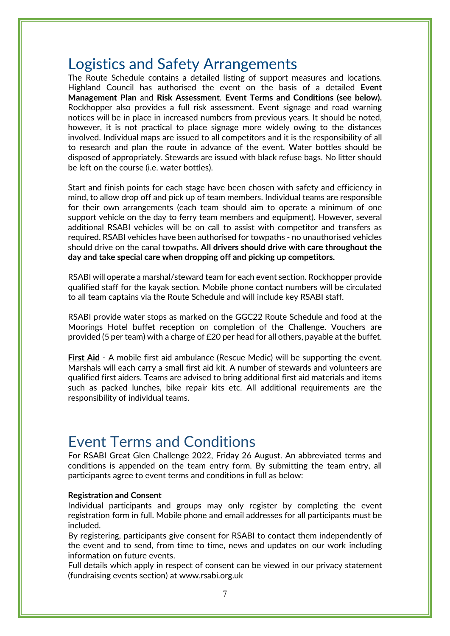### Logistics and Safety Arrangements

The Route Schedule contains a detailed listing of support measures and locations. Highland Council has authorised the event on the basis of a detailed **Event Management Plan** and **Risk Assessment**. **Event Terms and Conditions (see below).** Rockhopper also provides a full risk assessment. Event signage and road warning notices will be in place in increased numbers from previous years. It should be noted, however, it is not practical to place signage more widely owing to the distances involved. Individual maps are issued to all competitors and it is the responsibility of all to research and plan the route in advance of the event. Water bottles should be disposed of appropriately. Stewards are issued with black refuse bags. No litter should be left on the course (i.e. water bottles).

Start and finish points for each stage have been chosen with safety and efficiency in mind, to allow drop off and pick up of team members. Individual teams are responsible for their own arrangements (each team should aim to operate a minimum of one support vehicle on the day to ferry team members and equipment). However, several additional RSABI vehicles will be on call to assist with competitor and transfers as required. RSABI vehicles have been authorised for towpaths - no unauthorised vehicles should drive on the canal towpaths. **All drivers should drive with care throughout the day and take special care when dropping off and picking up competitors.**

RSABI will operate a marshal/steward team for each event section. Rockhopper provide qualified staff for the kayak section. Mobile phone contact numbers will be circulated to all team captains via the Route Schedule and will include key RSABI staff.

RSABI provide water stops as marked on the GGC22 Route Schedule and food at the Moorings Hotel buffet reception on completion of the Challenge. Vouchers are provided (5 per team) with a charge of £20 per head for all others, payable at the buffet.

**First Aid** - A mobile first aid ambulance (Rescue Medic) will be supporting the event. Marshals will each carry a small first aid kit. A number of stewards and volunteers are qualified first aiders. Teams are advised to bring additional first aid materials and items such as packed lunches, bike repair kits etc. All additional requirements are the responsibility of individual teams.

# Event Terms and Conditions

For RSABI Great Glen Challenge 2022, Friday 26 August. An abbreviated terms and conditions is appended on the team entry form. By submitting the team entry, all participants agree to event terms and conditions in full as below:

#### **Registration and Consent**

Individual participants and groups may only register by completing the event registration form in full. Mobile phone and email addresses for all participants must be included.

By registering, participants give consent for RSABI to contact them independently of the event and to send, from time to time, news and updates on our work including information on future events.

Full details which apply in respect of consent can be viewed in our privacy statement (fundraising events section) at www.rsabi.org.uk